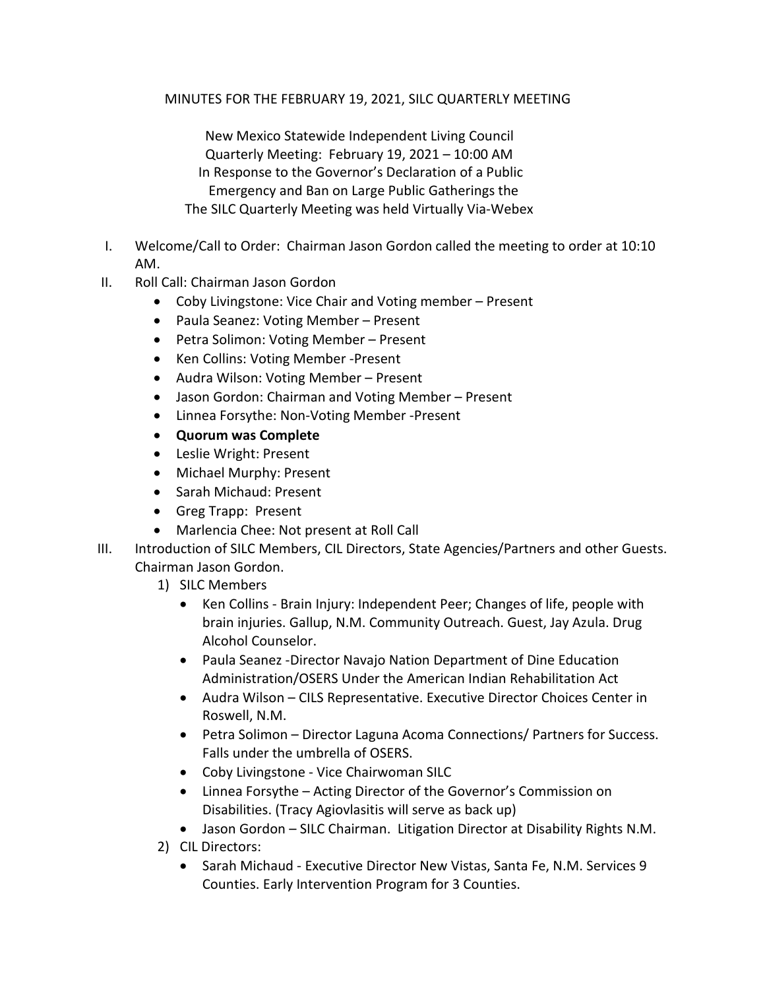MINUTES FOR THE FEBRUARY 19, 2021, SILC QUARTERLY MEETING

 New Mexico Statewide Independent Living Council Quarterly Meeting: February 19, 2021 – 10:00 AM In Response to the Governor's Declaration of a Public Emergency and Ban on Large Public Gatherings the The SILC Quarterly Meeting was held Virtually Via-Webex

- I. Welcome/Call to Order: Chairman Jason Gordon called the meeting to order at 10:10 AM.
- II. Roll Call: Chairman Jason Gordon
	- Coby Livingstone: Vice Chair and Voting member Present
	- Paula Seanez: Voting Member Present
	- Petra Solimon: Voting Member Present
	- Ken Collins: Voting Member -Present
	- Audra Wilson: Voting Member Present
	- Jason Gordon: Chairman and Voting Member Present
	- Linnea Forsythe: Non-Voting Member -Present
	- **Quorum was Complete**
	- Leslie Wright: Present
	- Michael Murphy: Present
	- Sarah Michaud: Present
	- Greg Trapp: Present
	- Marlencia Chee: Not present at Roll Call
- III. Introduction of SILC Members, CIL Directors, State Agencies/Partners and other Guests. Chairman Jason Gordon.
	- 1) SILC Members
		- Ken Collins Brain Injury: Independent Peer; Changes of life, people with brain injuries. Gallup, N.M. Community Outreach. Guest, Jay Azula. Drug Alcohol Counselor.
		- Paula Seanez -Director Navajo Nation Department of Dine Education Administration/OSERS Under the American Indian Rehabilitation Act
		- Audra Wilson CILS Representative. Executive Director Choices Center in Roswell, N.M.
		- Petra Solimon Director Laguna Acoma Connections/ Partners for Success. Falls under the umbrella of OSERS.
		- Coby Livingstone Vice Chairwoman SILC
		- Linnea Forsythe Acting Director of the Governor's Commission on Disabilities. (Tracy Agiovlasitis will serve as back up)
		- Jason Gordon SILC Chairman. Litigation Director at Disability Rights N.M.
	- 2) CIL Directors:
		- Sarah Michaud Executive Director New Vistas, Santa Fe, N.M. Services 9 Counties. Early Intervention Program for 3 Counties.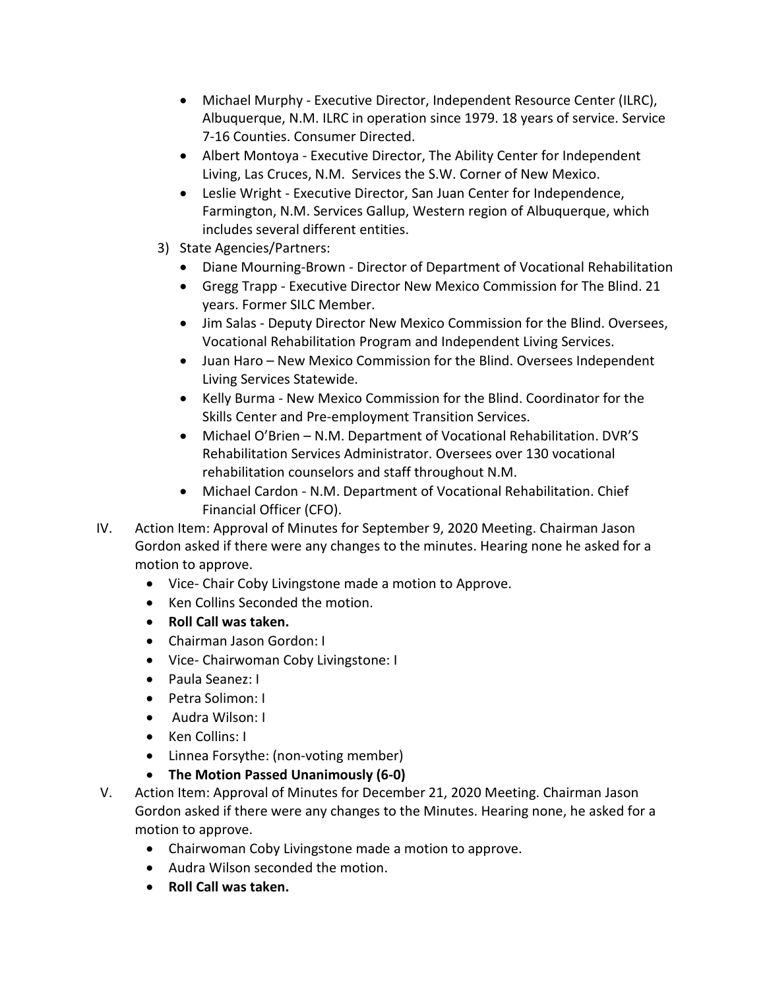- Michael Murphy Executive Director, Independent Resource Center (ILRC), Albuquerque, N.M. ILRC in operation since 1979. 18 years of service. Service 7-16 Counties. Consumer Directed.
- Albert Montoya Executive Director, The Ability Center for Independent Living, Las Cruces, N.M. Services the S.W. Corner of New Mexico.
- Leslie Wright Executive Director, San Juan Center for Independence, Farmington, N.M. Services Gallup, Western region of Albuquerque, which includes several different entities.
- 3) State Agencies/Partners:
	- Diane Mourning-Brown Director of Department of Vocational Rehabilitation
	- Gregg Trapp Executive Director New Mexico Commission for The Blind. 21 years. Former SILC Member.
	- Jim Salas Deputy Director New Mexico Commission for the Blind. Oversees, Vocational Rehabilitation Program and Independent Living Services.
	- Juan Haro New Mexico Commission for the Blind. Oversees Independent Living Services Statewide.
	- Kelly Burma New Mexico Commission for the Blind. Coordinator for the Skills Center and Pre-employment Transition Services.
	- Michael O'Brien N.M. Department of Vocational Rehabilitation. DVR'S Rehabilitation Services Administrator. Oversees over 130 vocational rehabilitation counselors and staff throughout N.M.
	- Michael Cardon N.M. Department of Vocational Rehabilitation. Chief Financial Officer (CFO).
- IV. Action Item: Approval of Minutes for September 9, 2020 Meeting. Chairman Jason Gordon asked if there were any changes to the minutes. Hearing none he asked for a motion to approve.
	- Vice- Chair Coby Livingstone made a motion to Approve.
	- Ken Collins Seconded the motion.
	- **Roll Call was taken.**
	- Chairman Jason Gordon: I
	- Vice- Chairwoman Coby Livingstone: I
	- Paula Seanez: I
	- Petra Solimon: I
	- Audra Wilson: I
	- Ken Collins: I
	- Linnea Forsythe: (non-voting member)
	- **The Motion Passed Unanimously (6-0)**
- V. Action Item: Approval of Minutes for December 21, 2020 Meeting. Chairman Jason Gordon asked if there were any changes to the Minutes. Hearing none, he asked for a motion to approve.
	- Chairwoman Coby Livingstone made a motion to approve.
	- Audra Wilson seconded the motion.
	- **Roll Call was taken.**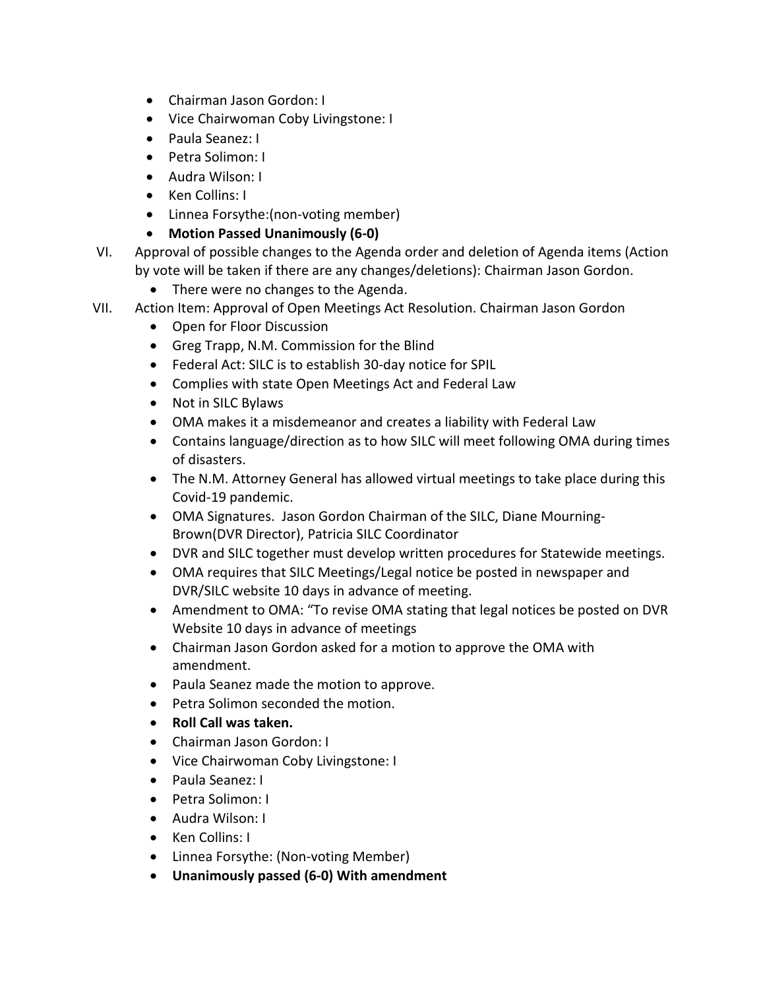- Chairman Jason Gordon: I
- Vice Chairwoman Coby Livingstone: I
- Paula Seanez: I
- Petra Solimon: I
- Audra Wilson: I
- Ken Collins: I
- Linnea Forsythe:(non-voting member)
- **Motion Passed Unanimously (6-0)**
- VI. Approval of possible changes to the Agenda order and deletion of Agenda items (Action by vote will be taken if there are any changes/deletions): Chairman Jason Gordon.
	- There were no changes to the Agenda.
- VII. Action Item: Approval of Open Meetings Act Resolution. Chairman Jason Gordon
	- Open for Floor Discussion
	- Greg Trapp, N.M. Commission for the Blind
	- Federal Act: SILC is to establish 30-day notice for SPIL
	- Complies with state Open Meetings Act and Federal Law
	- Not in SILC Bylaws
	- OMA makes it a misdemeanor and creates a liability with Federal Law
	- Contains language/direction as to how SILC will meet following OMA during times of disasters.
	- The N.M. Attorney General has allowed virtual meetings to take place during this Covid-19 pandemic.
	- OMA Signatures. Jason Gordon Chairman of the SILC, Diane Mourning-Brown(DVR Director), Patricia SILC Coordinator
	- DVR and SILC together must develop written procedures for Statewide meetings.
	- OMA requires that SILC Meetings/Legal notice be posted in newspaper and DVR/SILC website 10 days in advance of meeting.
	- Amendment to OMA: "To revise OMA stating that legal notices be posted on DVR Website 10 days in advance of meetings
	- Chairman Jason Gordon asked for a motion to approve the OMA with amendment.
	- Paula Seanez made the motion to approve.
	- Petra Solimon seconded the motion.
	- **Roll Call was taken.**
	- Chairman Jason Gordon: I
	- Vice Chairwoman Coby Livingstone: I
	- Paula Seanez: I
	- Petra Solimon: I
	- Audra Wilson: I
	- Ken Collins: I
	- Linnea Forsythe: (Non-voting Member)
	- **Unanimously passed (6-0) With amendment**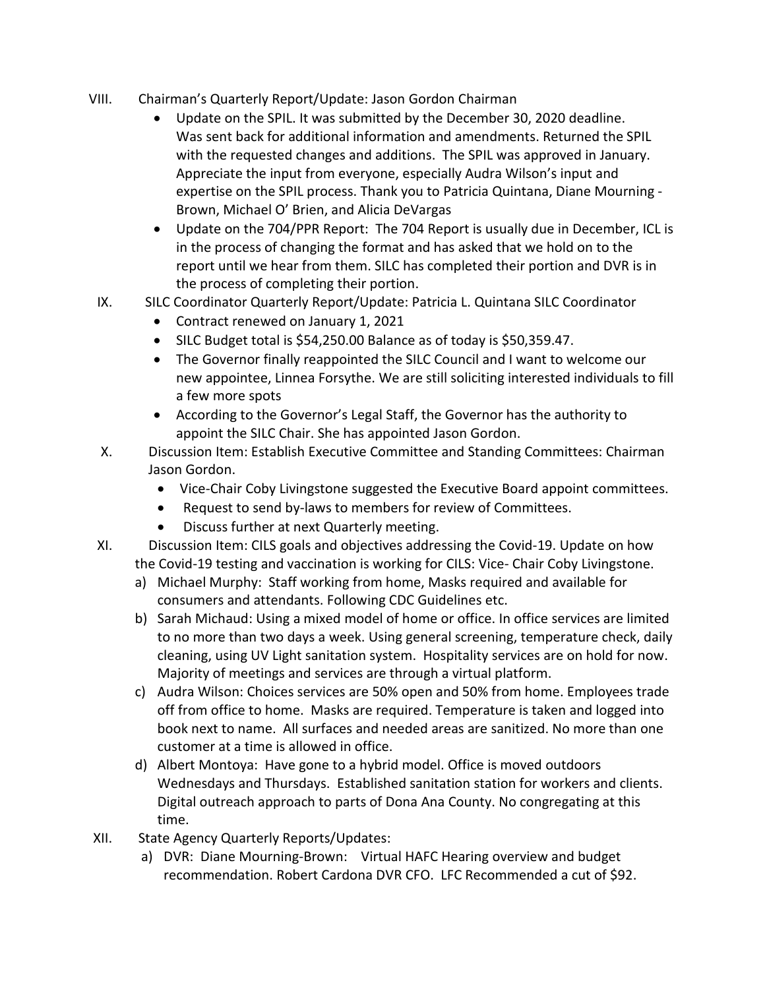- VIII. Chairman's Quarterly Report/Update: Jason Gordon Chairman
	- Update on the SPIL. It was submitted by the December 30, 2020 deadline. Was sent back for additional information and amendments. Returned the SPIL with the requested changes and additions. The SPIL was approved in January. Appreciate the input from everyone, especially Audra Wilson's input and expertise on the SPIL process. Thank you to Patricia Quintana, Diane Mourning - Brown, Michael O' Brien, and Alicia DeVargas
	- Update on the 704/PPR Report: The 704 Report is usually due in December, ICL is in the process of changing the format and has asked that we hold on to the report until we hear from them. SILC has completed their portion and DVR is in the process of completing their portion.
- IX. SILC Coordinator Quarterly Report/Update: Patricia L. Quintana SILC Coordinator
	- Contract renewed on January 1, 2021
	- SILC Budget total is \$54,250.00 Balance as of today is \$50,359.47.
	- The Governor finally reappointed the SILC Council and I want to welcome our new appointee, Linnea Forsythe. We are still soliciting interested individuals to fill a few more spots
	- According to the Governor's Legal Staff, the Governor has the authority to appoint the SILC Chair. She has appointed Jason Gordon.
- X. Discussion Item: Establish Executive Committee and Standing Committees: Chairman Jason Gordon.
	- Vice-Chair Coby Livingstone suggested the Executive Board appoint committees.
	- Request to send by-laws to members for review of Committees.
	- Discuss further at next Quarterly meeting.

XI. Discussion Item: CILS goals and objectives addressing the Covid-19. Update on how the Covid-19 testing and vaccination is working for CILS: Vice- Chair Coby Livingstone.

- a) Michael Murphy: Staff working from home, Masks required and available for consumers and attendants. Following CDC Guidelines etc.
- b) Sarah Michaud: Using a mixed model of home or office. In office services are limited to no more than two days a week. Using general screening, temperature check, daily cleaning, using UV Light sanitation system. Hospitality services are on hold for now. Majority of meetings and services are through a virtual platform.
- c) Audra Wilson: Choices services are 50% open and 50% from home. Employees trade off from office to home. Masks are required. Temperature is taken and logged into book next to name. All surfaces and needed areas are sanitized. No more than one customer at a time is allowed in office.
- d) Albert Montoya: Have gone to a hybrid model. Office is moved outdoors Wednesdays and Thursdays. Established sanitation station for workers and clients. Digital outreach approach to parts of Dona Ana County. No congregating at this time.
- XII. State Agency Quarterly Reports/Updates:
	- a) DVR: Diane Mourning-Brown: Virtual HAFC Hearing overview and budget recommendation. Robert Cardona DVR CFO. LFC Recommended a cut of \$92.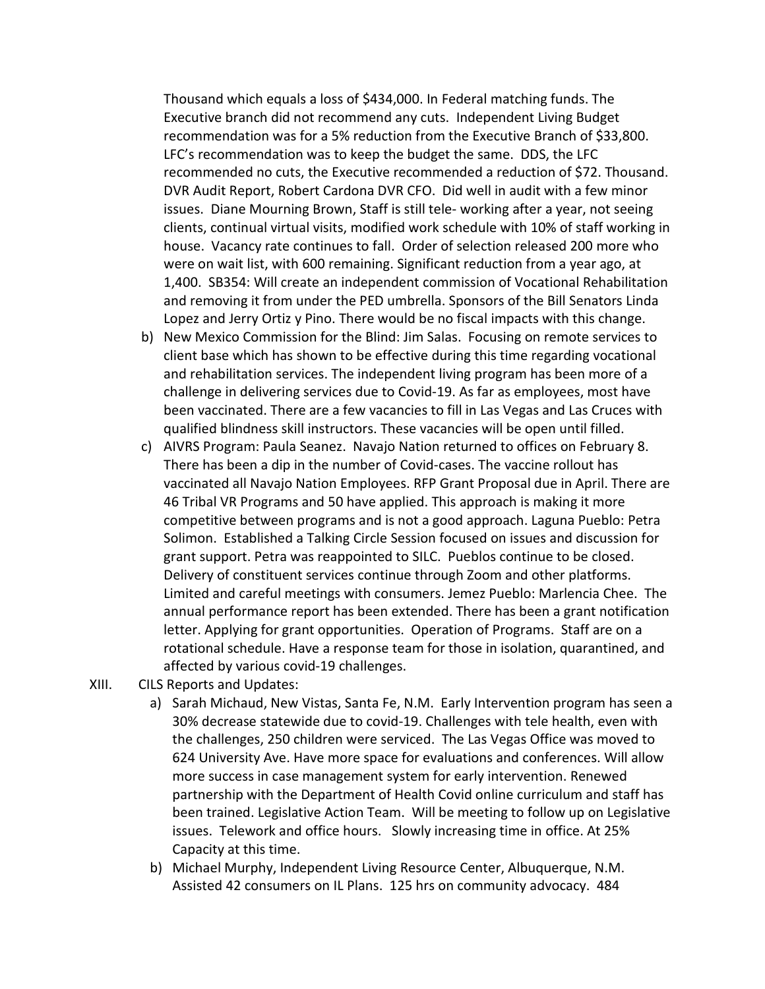Thousand which equals a loss of \$434,000. In Federal matching funds. The Executive branch did not recommend any cuts. Independent Living Budget recommendation was for a 5% reduction from the Executive Branch of \$33,800. LFC's recommendation was to keep the budget the same. DDS, the LFC recommended no cuts, the Executive recommended a reduction of \$72. Thousand. DVR Audit Report, Robert Cardona DVR CFO. Did well in audit with a few minor issues. Diane Mourning Brown, Staff is still tele- working after a year, not seeing clients, continual virtual visits, modified work schedule with 10% of staff working in house. Vacancy rate continues to fall. Order of selection released 200 more who were on wait list, with 600 remaining. Significant reduction from a year ago, at 1,400. SB354: Will create an independent commission of Vocational Rehabilitation and removing it from under the PED umbrella. Sponsors of the Bill Senators Linda Lopez and Jerry Ortiz y Pino. There would be no fiscal impacts with this change.

- b) New Mexico Commission for the Blind: Jim Salas. Focusing on remote services to client base which has shown to be effective during this time regarding vocational and rehabilitation services. The independent living program has been more of a challenge in delivering services due to Covid-19. As far as employees, most have been vaccinated. There are a few vacancies to fill in Las Vegas and Las Cruces with qualified blindness skill instructors. These vacancies will be open until filled.
- c) AIVRS Program: Paula Seanez. Navajo Nation returned to offices on February 8. There has been a dip in the number of Covid-cases. The vaccine rollout has vaccinated all Navajo Nation Employees. RFP Grant Proposal due in April. There are 46 Tribal VR Programs and 50 have applied. This approach is making it more competitive between programs and is not a good approach. Laguna Pueblo: Petra Solimon. Established a Talking Circle Session focused on issues and discussion for grant support. Petra was reappointed to SILC. Pueblos continue to be closed. Delivery of constituent services continue through Zoom and other platforms. Limited and careful meetings with consumers. Jemez Pueblo: Marlencia Chee. The annual performance report has been extended. There has been a grant notification letter. Applying for grant opportunities. Operation of Programs. Staff are on a rotational schedule. Have a response team for those in isolation, quarantined, and affected by various covid-19 challenges.
- XIII. CILS Reports and Updates:
	- a) Sarah Michaud, New Vistas, Santa Fe, N.M. Early Intervention program has seen a 30% decrease statewide due to covid-19. Challenges with tele health, even with the challenges, 250 children were serviced. The Las Vegas Office was moved to 624 University Ave. Have more space for evaluations and conferences. Will allow more success in case management system for early intervention. Renewed partnership with the Department of Health Covid online curriculum and staff has been trained. Legislative Action Team. Will be meeting to follow up on Legislative issues. Telework and office hours. Slowly increasing time in office. At 25% Capacity at this time.
	- b) Michael Murphy, Independent Living Resource Center, Albuquerque, N.M. Assisted 42 consumers on IL Plans. 125 hrs on community advocacy. 484